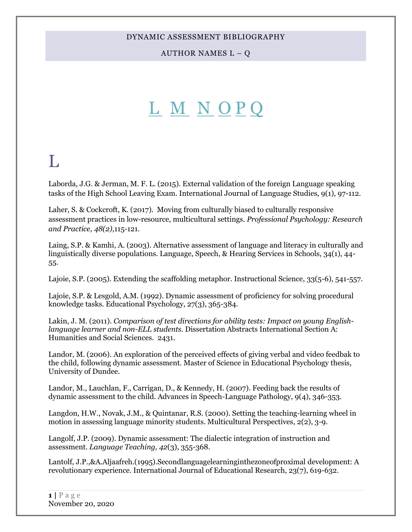AUTHOR NAMES  $L - Q$ 

# <span id="page-0-1"></span>[L](#page-0-0) [M](#page-9-0) [N](#page-17-0) [O](#page-19-0) [P](#page-21-0) [Q](#page-28-0)

# <span id="page-0-0"></span>L

Laborda, J.G. & Jerman, M. F. L. (2015). External validation of the foreign Language speaking tasks of the High School Leaving Exam. International Journal of Language Studies, 9(1), 97-112.

Laher, S. & Cockcroft, K. (2017). Moving from culturally biased to culturally responsive assessment practices in low-resource, multicultural settings. *Professional Psychology: Research and Practice, 48(2),*115-121.

Laing, S.P. & Kamhi, A. (2003). Alternative assessment of language and literacy in culturally and linguistically diverse populations. Language, Speech, & Hearing Services in Schools, 34(1), 44- 55.

Lajoie, S.P. (2005). Extending the scaffolding metaphor. Instructional Science, 33(5-6), 541-557.

Lajoie, S.P. & Lesgold, A.M. (1992). Dynamic assessment of proficiency for solving procedural knowledge tasks. Educational Psychology, 27(3), 365-384.

Lakin, J. M. (2011). *Comparison of test directions for ability tests: Impact on young Englishlanguage learner and non-ELL students.* Dissertation Abstracts International Section A: Humanities and Social Sciences. 2431.

Landor, M. (2006). An exploration of the perceived effects of giving verbal and video feedbak to the child, following dynamic assessment. Master of Science in Educational Psychology thesis, University of Dundee.

Landor, M., Lauchlan, F., Carrigan, D., & Kennedy, H. (2007). Feeding back the results of dynamic assessment to the child. Advances in Speech-Language Pathology, 9(4), 346-353.

Langdon, H.W., Novak, J.M., & Quintanar, R.S. (2000). Setting the teaching-learning wheel in motion in assessing language minority students. Multicultural Perspectives, 2(2), 3-9.

Langolf, J.P. (2009). Dynamic assessment: The dialectic integration of instruction and assessment. *Language Teaching, 42*(3), 355-368.

Lantolf, J.P.,&A.Aljaafreh.(1995).Secondlanguagelearninginthezoneofproximal development: A revolutionary experience. International Journal of Educational Research, 23(7), 619-632.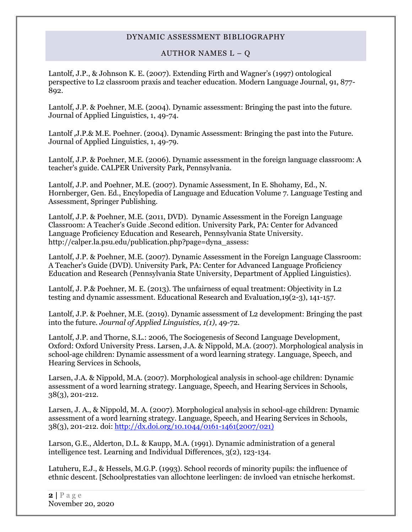#### AUTHOR NAMES  $L - Q$

Lantolf, J.P., & Johnson K. E. (2007). Extending Firth and Wagner's (1997) ontological perspective to L2 classroom praxis and teacher education. Modern Language Journal, 91, 877- 892.

Lantolf, J.P. & Poehner, M.E. (2004). Dynamic assessment: Bringing the past into the future. Journal of Applied Linguistics, 1, 49-74.

Lantolf ,J.P.& M.E. Poehner. (2004). Dynamic Assessment: Bringing the past into the Future. Journal of Applied Linguistics, 1, 49-79.

Lantolf, J.P. & Poehner, M.E. (2006). Dynamic assessment in the foreign language classroom: A teacher's guide. CALPER University Park, Pennsylvania.

Lantolf, J.P. and Poehner, M.E. (2007). Dynamic Assessment, In E. Shohamy, Ed., N. Hornberger, Gen. Ed., Encylopedia of Language and Education Volume 7. Language Testing and Assessment, Springer Publishing.

Lantolf, J.P. & Poehner, M.E. (2011, DVD). Dynamic Assessment in the Foreign Language Classroom: A Teacher's Guide .Second edition. University Park, PA: Center for Advanced Language Proficiency Education and Research, Pennsylvania State University. http://calper.la.psu.edu/publication.php?page=dyna\_assess:

Lantolf, J.P. & Poehner, M.E. (2007). Dynamic Assessment in the Foreign Language Classroom: A Teacher's Guide (DVD). University Park, PA: Center for Advanced Language Proficiency Education and Research (Pennsylvania State University, Department of Applied Linguistics).

Lantolf, J. P.& Poehner, M. E. (2013). The unfairness of equal treatment: Objectivity in L2 testing and dynamic assessment. Educational Research and Evaluation,19(2-3), 141-157.

Lantolf, J.P. & Poehner, M.E. (2019). Dynamic assessment of L2 development: Bringing the past into the future. *Journal of Applied Linguistics, 1(1)*, 49-72.

Lantolf, J.P. and Thorne, S.L.: 2006, The Sociogenesis of Second Language Development, Oxford: Oxford University Press. Larsen, J.A. & Nippold, M.A. (2007). Morphological analysis in school-age children: Dynamic assessment of a word learning strategy. Language, Speech, and Hearing Services in Schools,

Larsen, J.A. & Nippold, M.A. (2007). Morphological analysis in school-age children: Dynamic assessment of a word learning strategy. Language, Speech, and Hearing Services in Schools, 38(3), 201-212.

Larsen, J. A., & Nippold, M. A. (2007). Morphological analysis in school-age children: Dynamic assessment of a word learning strategy. Language, Speech, and Hearing Services in Schools, 38(3), 201-212. doi: [http://dx.doi.org/10.1044/0161-1461\(2007/021\)](http://psycnet.apa.org/doi/10.1044/0161-1461(2007/021))

Larson, G.E., Alderton, D.L. & Kaupp, M.A. (1991). Dynamic administration of a general intelligence test. Learning and Individual Differences, 3(2), 123-134.

Latuheru, E.J., & Hessels, M.G.P. (1993). School records of minority pupils: the influence of ethnic descent. [Schoolprestaties van allochtone leerlingen: de invloed van etnische herkomst.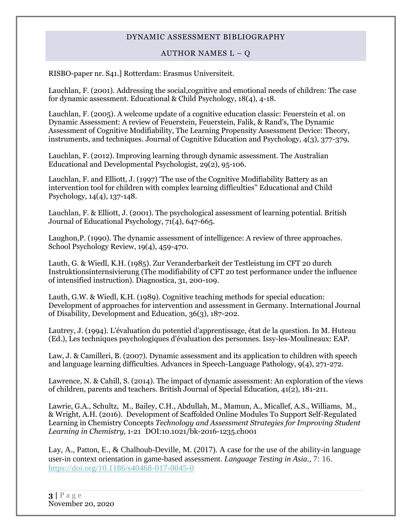#### AUTHOR NAMES  $L - Q$

RISBO-paper nr. S41.] Rotterdam: Erasmus Universiteit.

Lauchlan, F. (2001). Addressing the social,cognitive and emotional needs of children: The case for dynamic assessment. Educational & Child Psychology, 18(4), 4-18.

Lauchlan, F. (2005). A welcome update of a cognitive education classic: Feuerstein et al. on Dynamic Assessment: A review of Feuerstein, Feuerstein, Falik, & Rand's, The Dynamic Assessment of Cognitive Modifiability, The Learning Propensity Assessment Device: Theory, instruments, and techniques. Journal of Cognitive Education and Psychology, 4(3), 377-379,

Lauchlan, F. (2012). Improving learning through dynamic assessment. The Australian Educational and Developmental Psychologist, 29(2), 95-106.

Lauchlan, F. and Elliott, J. (1997) 'The use of the Cognitive Modifiability Battery as an intervention tool for children with complex learning difficulties'' Educational and Child Psychology, 14(4), 137-148.

Lauchlan, F. & Elliott, J. (2001). The psychological assessment of learning potential. British Journal of Educational Psychology, 71(4), 647-665.

Laughon,P. (1990). The dynamic assessment of intelligence: A review of three approaches. School Psychology Review, 19(4), 459-470.

Lauth, G. & Wiedl, K.H. (1985). Zur Veranderbarkeit der Testleistung im CFT 20 durch Instruktionsinternsivierung (The modifiability of CFT 20 test performance under the influence of intensified instruction). Diagnostica, 31, 200-109.

Lauth, G.W. & Wiedl, K.H. (1989). Cognitive teaching methods for special education: Development of approaches for intervention and assessment in Germany. International Journal of Disability, Development and Education, 36(3), 187-202.

Lautrey, J. (1994). L'évaluation du potentiel d'apprentissage, état de la question. In M. Huteau (Ed.), Les techniques psychologiques d'évaluation des personnes. Issy-les-Moulineaux: EAP.

Law, J. & Camilleri, B. (2007). Dynamic assessment and its application to children with speech and language learning difficulties. Advances in Speech-Language Pathology, 9(4), 271-272.

Lawrence, N. & Cahill, S. (2014). The impact of dynamic assessment: An exploration of the views of children, parents and teachers. British Journal of Special Education, 41(2), 181-211.

Lawrie, G.A., Schultz, M., Bailey, C.H., Abdullah, M., Mamun, A., Micallef, A.S., Williams, M., & Wright, A.H. (2016). Development of Scaffolded Online Modules To Support Self-Regulated Learning in Chemistry Concepts *Technology and Assessment Strategies for Improving Student Learning in Chemistry,* 1-21 DOI:10.1021/bk-2016-1235.ch001

Lay, A., Patton, E., & Chalhoub-Deville, M. (2017). A case for the use of the ability-in language user-in context orientation in game-based assessment. *Language Testing in Asia.,* 7: 16. <https://doi.org/10.1186/s40468-017-0045-0>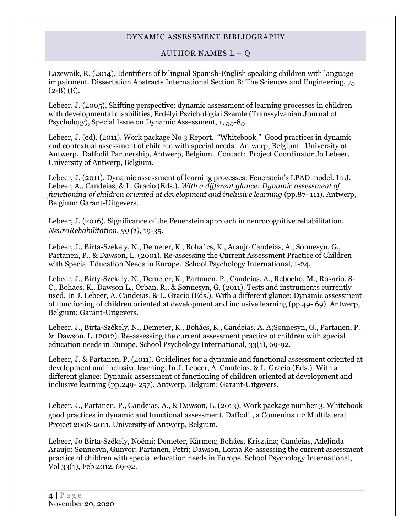### AUTHOR NAMES  $L - Q$

Lazewnik, R. (2014). Identifiers of bilingual Spanish-English speaking children with language impairment. Dissertation Abstracts International Section B: The Sciences and Engineering, 75  $(2-B)$  (E).

Lebeer, J. (2005), Shifting perspective: dynamic assessment of learning processes in children with developmental disabilities, Erdélyi Pszichológiai Szemle (Transsylvanian Journal of Psychology), Special Issue on Dynamic Assessment, 1, 55-85.

Lebeer, J. (ed). (2011). Work package No 3 Report. "Whitebook." Good practices in dynamic and contextual assessment of children with special needs. Antwerp, Belgium: University of Antwerp. Daffodil Partnership, Antwerp, Belgium. Contact: Project Coordinator Jo Lebeer, University of Antwerp, Belgium.

Lebeer, J. (2011). Dynamic assessment of learning processes: Feuerstein's LPAD model. In J. Lebeer, A., Candeias, & L. Gracio (Eds.). *With a different glance: Dynamic assessment of functioning of children oriented at development and inclusive learning* (pp.87- 111). Antwerp, Belgium: Garant-Uitgevers.

Lebeer, J. (2016). Significance of the Feuerstein approach in neurocognitive rehabilitation. *NeuroRehabilitation, 39 (1),* 19-35.

Lebeer, J., Birta-Szekely, N., Demeter, K., Boha`cs, K., Araujo Candeias, A., Sonnesyn, G., Partanen, P., & Dawson, L. (2001). Re-assessing the Current Assessment Practice of Children with Special Education Needs in Europe. School Psychology International, 1-24.

Lebeer, J., Birty-Szekely, N., Demeter, K., Partanen, P., Candeias, A., Rebocho, M., Rosario, S-C., Bohacs, K., Dawson L., Orban, R., & Sønnesyn, G. (2011). Tests and instruments currently used. In J. Lebeer, A. Candeias, & L. Gracio (Eds.). With a different glance: Dynamic assessment of functioning of children oriented at development and inclusive learning (pp.49- 69). Antwerp, Belgium: Garant-Uitgevers.

Lebeer, J., Birta-Székely, N., Demeter, K., Bohács, K., Candeias, A. A;Sønnesyn, G., Partanen, P. & Dawson, L. (2012). Re-assessing the current assessment practice of children with special education needs in Europe. School Psychology International, 33(1), 69-92.

Lebeer, J. & Partanen, P. (2011). Guidelines for a dynamic and functional assessment oriented at development and inclusive learning. In J. Lebeer, A. Candeias, & L. Gracio (Eds.). With a different glance: Dynamic assessment of functioning of children oriented at development and inclusive learning (pp.249- 257). Antwerp, Belgium: Garant-Uitgevers.

Lebeer, J., Partanen, P., Candeias, A., & Dawson, L. (2013). Work package number 3. Whitebook good practices in dynamic and functional assessment. Daffodil, a Comenius 1.2 Multilateral Project 2008-2011, University of Antwerp, Belgium.

Lebeer, Jo Birta-Székely, Noémi; Demeter, Kármen; Bohács, Krisztina; Candeias, Adelinda Araujo; Sønnesyn, Gunvor; Partanen, Petri; Dawson, Lorna Re-assessing the current assessment practice of children with special education needs in Europe. School Psychology International, Vol 33(1), Feb 2012. 69-92.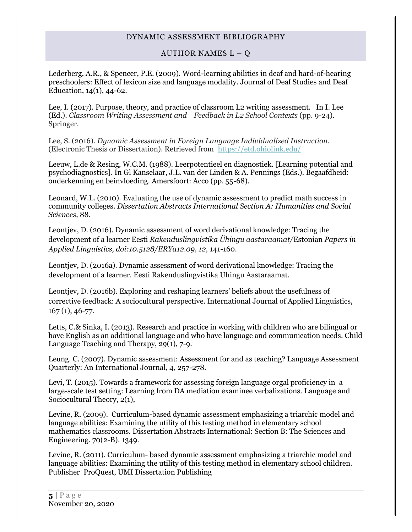#### AUTHOR NAMES  $L - Q$

Lederberg, A.R., & Spencer, P.E. (2009). Word-learning abilities in deaf and hard-of-hearing preschoolers: Effect of lexicon size and language modality. Journal of Deaf Studies and Deaf Education, 14(1), 44-62.

Lee, I. (2017). Purpose, theory, and practice of classroom L2 writing assessment. In I. Lee (Ed.). *[Classroom Writing Assessment and Feedback in L2 School Contexts](http://link.springer.com/book/10.1007/978-981-10-3924-9)* (pp. 9-24). Springer.

Lee, S. (2016). *Dynamic Assessment in Foreign Language Individualized Instruction.* (Electronic Thesis or Dissertation). Retrieved from <https://etd.ohiolink.edu/>

Leeuw, L.de & Resing, W.C.M. (1988). Leerpotentieel en diagnostiek. [Learning potential and psychodiagnostics]. In Gl Kanselaar, J.L. van der Linden & A. Pennings (Eds.). Begaafdheid: onderkenning en beinvloeding. Amersfoort: Acco (pp. 55-68).

[Leonard,](http://psycnet.apa.org/index.cfm?fa=search.searchResults&latSearchType=a&term=Wilhelm,%20R.%20Leonard) W.L. (2010). Evaluating the use of dynamic assessment to predict math success in community colleges. *Dissertation Abstracts International Section A: Humanities and Social Sciences,* 88.

Leontjev, D. (2016). Dynamic assessment of word derivational knowledge: Tracing the development of a learner Eesti *Rakenduslingvistika Ühingu aastaraamat/*Estonian *Papers in Applied Linguistics, doi:10.5128/ERYa12.09, 12,* 141-160.

Leontjev, D. (2016a). Dynamic assessment of word derivational knowledge: Tracing the development of a learner. Eesti Rakenduslingvistika Uhingu Aastaraamat.

Leontjev, D. (2016b). Exploring and reshaping learners' beliefs about the usefulness of corrective feedback: A sociocultural perspective. International Journal of Applied Linguistics, 167 (1), 46-77.

Letts, C.& Sinka, I. (2013). Research and practice in working with children who are bilingual or have English as an additional language and who have language and communication needs. Child Language Teaching and Therapy, 29(1), 7-9.

Leung. C. (2007). Dynamic assessment: Assessment for and as teaching? Language Assessment Quarterly: An International Journal, 4, 257-278.

Levi, T. (2015). Towards a framework for assessing foreign language orgal proficiency in a large-scale test setting: Learning from DA mediation examinee verbalizations. Language and Sociocultural Theory, 2(1),

Levine, R. (2009). Curriculum-based dynamic assessment emphasizing a triarchic model and language abilities: Examining the utility of this testing method in elementary school mathematics classrooms. Dissertation Abstracts International: Section B: The Sciences and Engineering. 70(2-B). 1349.

Levine, R. (2011). Curriculum- based dynamic assessment emphasizing a triarchic model and language abilities: Examining the utility of this testing method in elementary school children. Publisher ProQuest, UMI Dissertation Publishing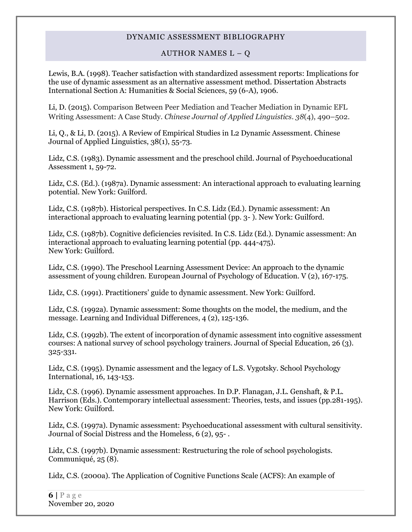### AUTHOR NAMES  $L - Q$

Lewis, B.A. (1998). Teacher satisfaction with standardized assessment reports: Implications for the use of dynamic assessment as an alternative assessment method. Dissertation Abstracts International Section A: Humanities & Social Sciences, 59 (6-A), 1906.

Li, D. (2015). Comparison Between Peer Mediation and Teacher Mediation in Dynamic EFL Writing Assessment: A Case Study. *Chinese Journal of Applied Linguistics*. *38*(4), 490–502.

Li, Q., & Li, D. (2015). A Review of Empirical Studies in L2 Dynamic Assessment. Chinese Journal of Applied Linguistics, 38(1), 55-73.

Lidz, C.S. (1983). Dynamic assessment and the preschool child. Journal of Psychoeducational Assessment 1, 59-72.

Lidz, C.S. (Ed.). (1987a). Dynamic assessment: An interactional approach to evaluating learning potential. New York: Guilford.

Lidz, C.S. (1987b). Historical perspectives. In C.S. Lidz (Ed.). Dynamic assessment: An interactional approach to evaluating learning potential (pp. 3- ). New York: Guilford.

Lidz, C.S. (1987b). Cognitive deficiencies revisited. In C.S. Lidz (Ed.). Dynamic assessment: An interactional approach to evaluating learning potential (pp. 444-475). New York: Guilford.

Lidz, C.S. (1990). The Preschool Learning Assessment Device: An approach to the dynamic assessment of young children. European Journal of Psychology of Education. V (2), 167-175.

Lidz, C.S. (1991). Practitioners' guide to dynamic assessment. New York: Guilford.

Lidz, C.S. (1992a). Dynamic assessment: Some thoughts on the model, the medium, and the message. Learning and Individual Differences, 4 (2), 125-136.

Lidz, C.S. (1992b). The extent of incorporation of dynamic assessment into cognitive assessment courses: A national survey of school psychology trainers. Journal of Special Education, 26 (3). 325-331.

Lidz, C.S. (1995). Dynamic assessment and the legacy of L.S. Vygotsky. School Psychology International, 16, 143-153.

Lidz, C.S. (1996). Dynamic assessment approaches. In D.P. Flanagan, J.L. Genshaft, & P.L. Harrison (Eds.). Contemporary intellectual assessment: Theories, tests, and issues (pp.281-195). New York: Guilford.

Lidz, C.S. (1997a). Dynamic assessment: Psychoeducational assessment with cultural sensitivity. Journal of Social Distress and the Homeless, 6 (2), 95- .

Lidz, C.S. (1997b). Dynamic assessment: Restructuring the role of school psychologists. Communiqué, 25 (8).

Lidz, C.S. (2000a). The Application of Cognitive Functions Scale (ACFS): An example of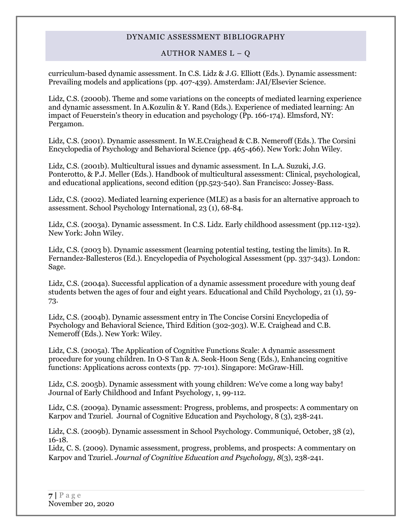#### AUTHOR NAMES  $L - Q$

curriculum-based dynamic assessment. In C.S. Lidz & J.G. Elliott (Eds.). Dynamic assessment: Prevailing models and applications (pp. 407-439). Amsterdam: JAI/Elsevier Science.

Lidz, C.S. (2000b). Theme and some variations on the concepts of mediated learning experience and dynamic assessment. In A.Kozulin & Y. Rand (Eds.). Experience of mediated learning: An impact of Feuerstein's theory in education and psychology (Pp. 166-174). Elmsford, NY: Pergamon.

Lidz, C.S. (2001). Dynamic assessment. In W.E.Craighead & C.B. Nemeroff (Eds.). The Corsini Encyclopedia of Psychology and Behavioral Science (pp. 465-466). New York: John Wiley.

Lidz, C.S. (2001b). Multicultural issues and dynamic assessment. In L.A. Suzuki, J.G. Ponterotto, & P.J. Meller (Eds.). Handbook of multicultural assessment: Clinical, psychological, and educational applications, second edition (pp.523-540). San Francisco: Jossey-Bass.

Lidz, C.S. (2002). Mediated learning experience (MLE) as a basis for an alternative approach to assessment. School Psychology International, 23 (1), 68-84.

Lidz, C.S. (2003a). Dynamic assessment. In C.S. Lidz. Early childhood assessment (pp.112-132). New York: John Wiley.

Lidz, C.S. (2003 b). Dynamic assessment (learning potential testing, testing the limits). In R. Fernandez-Ballesteros (Ed.). Encyclopedia of Psychological Assessment (pp. 337-343). London: Sage.

Lidz, C.S. (2004a). Successful application of a dynamic assessment procedure with young deaf students betwen the ages of four and eight years. Educational and Child Psychology, 21 (1), 59- 73.

Lidz, C.S. (2004b). Dynamic assessment entry in The Concise Corsini Encyclopedia of Psychology and Behavioral Science, Third Edition (302-303). W.E. Craighead and C.B. Nemeroff (Eds.). New York: Wiley.

Lidz, C.S. (2005a). The Application of Cognitive Functions Scale: A dynamic assessment procedure for young children. In O-S Tan & A. Seok-Hoon Seng (Eds.), Enhancing cognitive functions: Applications across contexts (pp. 77-101). Singapore: McGraw-Hill.

Lidz, C.S. 2005b). Dynamic assessment with young children: We've come a long way baby! Journal of Early Childhood and Infant Psychology, 1, 99-112.

Lidz, C.S. (2009a). Dynamic assessment: Progress, problems, and prospects: A commentary on Karpov and Tzuriel. Journal of Cognitive Education and Psychology,  $8(3)$ , 238-241.

Lidz, C.S. (2009b). Dynamic assessment in School Psychology. Communiqué, October, 38 (2), 16-18.

Lidz, C. S. (2009). Dynamic assessment, progress, problems, and prospects: A commentary on Karpov and Tzuriel. *Journal of Cognitive Education and Psychology, 8*(3), 238-241.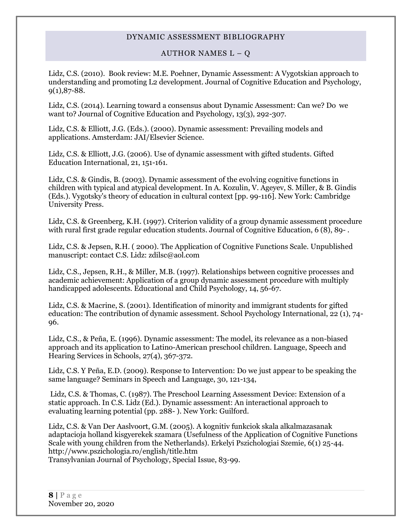#### AUTHOR NAMES  $L - Q$

Lidz, C.S. (2010). Book review: M.E. Poehner, Dynamic Assessment: A Vygotskian approach to understanding and promoting L2 development. Journal of Cognitive Education and Psychology,  $9(1),87-88.$ 

Lidz, C.S. (2014). Learning toward a consensus about Dynamic Assessment: Can we? Do we want to? Journal of Cognitive Education and Psychology, 13(3), 292-307.

Lidz, C.S. & Elliott, J.G. (Eds.). (2000). Dynamic assessment: Prevailing models and applications. Amsterdam: JAI/Elsevier Science.

Lidz, C.S. & Elliott, J.G. (2006). Use of dynamic assessment with gifted students. Gifted Education International, 21, 151-161.

Lidz, C.S. & Gindis, B. (2003). Dynamic assessment of the evolving cognitive functions in children with typical and atypical development. In A. Kozulin, V. Ageyev, S. Miller, & B. Gindis (Eds.). Vygotsky's theory of education in cultural context [pp. 99-116]. New York: Cambridge University Press.

Lidz, C.S. & Greenberg, K.H. (1997). Criterion validity of a group dynamic assessment procedure with rural first grade regular education students. Journal of Cognitive Education, 6 (8), 89- .

Lidz, C.S. & Jepsen, R.H. ( 2000). The Application of Cognitive Functions Scale. Unpublished manuscript: contact C.S. Lidz: zdilsc@aol.com

Lidz, C.S., Jepsen, R.H., & Miller, M.B. (1997). Relationships between cognitive processes and academic achievement: Application of a group dynamic assessment procedure with multiply handicapped adolescents. Educational and Child Psychology, 14, 56-67.

Lidz, C.S. & Macrine, S. (2001). Identification of minority and immigrant students for gifted education: The contribution of dynamic assessment. School Psychology International, 22 (1), 74- 96.

Lidz, C.S., & Peña, E. (1996). Dynamic assessment: The model, its relevance as a non-biased approach and its application to Latino-American preschool children. Language, Speech and Hearing Services in Schools, 27(4), 367-372.

Lidz, C.S. Y Peña, E.D. (2009). Response to Intervention: Do we just appear to be speaking the same language? Seminars in Speech and Language, 30, 121-134,

Lidz, C.S. & Thomas, C. (1987). The Preschool Learning Assessment Device: Extension of a static approach. In C.S. Lidz (Ed.). Dynamic assessment: An interactional approach to evaluating learning potential (pp. 288- ). New York: Guilford.

Lidz, C.S. & Van Der Aaslvoort, G.M. (2005). A kognitiv funkciok skala alkalmazasanak adaptacioja holland kisgyerekek szamara (Usefulness of the Application of Cognitive Functions Scale with young children from the Netherlands). Erkelyi Pszichologiai Szemie, 6(1) 25-44. http://www.pszichologia.ro/english/title.htm

Transylvanian Journal of Psychology, Special Issue, 83-99.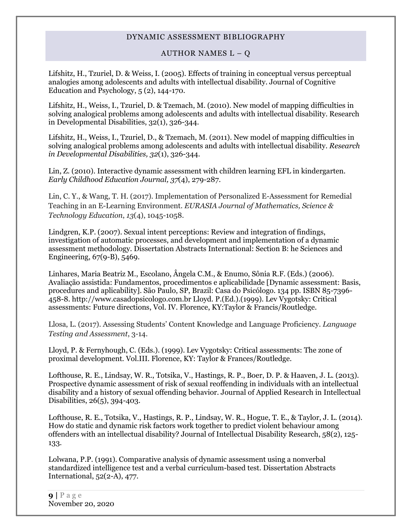#### AUTHOR NAMES  $L - Q$

Lifshitz, H., Tzuriel, D. & Weiss, I. (2005). Effects of training in conceptual versus perceptual analogies among adolescents and adults with intellectual disability. Journal of Cognitive Education and Psychology, 5 (2), 144-170.

Lifshitz, H., Weiss, I., Tzuriel, D. & Tzemach, M. (2010). New model of mapping difficulties in solving analogical problems among adolescents and adults with intellectual disability. Research in Developmental Disabilities, 32(1), 326-344.

Lifshitz, H., Weiss, I., Tzuriel, D., & Tzemach, M. (2011). New model of mapping difficulties in solving analogical problems among adolescents and adults with intellectual disability. *Research in Developmental Disabilities, 32*(1), 326-344.

Lin, Z. (2010). [Interactive dynamic assessment with children learning EFL in kindergarten.](http://psycnet.apa.org/index.cfm?fa=search.displayRecord&id=B6F4B90D-9E21-EC1C-6F6D-88415430527F&resultID=15&page=1&dbTab=all) *Early Childhood Education Journal, 37*(4), 279-287.

Lin, C. Y., & Wang, T. H. (2017). Implementation of Personalized E-Assessment for Remedial Teaching in an E-Learning Environment. *EURASIA Journal of Mathematics, Science & Technology Education*, *13*(4), 1045-1058.

Lindgren, K.P. (2007). Sexual intent perceptions: Review and integration of findings, investigation of automatic processes, and development and implementation of a dynamic assessment methodology. Dissertation Abstracts International: Section B: he Sciences and Engineering, 67(9-B), 5469.

Linhares, Maria Beatriz M., Escolano, Ângela C.M., & Enumo, Sônia R.F. (Eds.) (2006). Avaliação assistida: Fundamentos, procedimentos e aplicabilidade [Dynamic assessment: Basis, procedures and aplicability]. São Paulo, SP, Brazil: Casa do Psicólogo. 134 pp. ISBN 85-7396- 458-8. http://www.casadopsicologo.com.br Lloyd. P.(Ed.).(1999). Lev Vygotsky: Critical assessments: Future directions, Vol. IV. Florence, KY:Taylor & Francis/Routledge.

Llosa, L. (2017). Assessing Students' Content Knowledge and Language Proficiency. *Language Testing and Assessment*, 3-14.

Lloyd, P. & Fernyhough, C. (Eds.). (1999). Lev Vygotsky: Critical assessments: The zone of proximal development. Vol.III. Florence, KY: Taylor & Frances/Routledge.

Lofthouse, R. E., Lindsay, W. R., Totsika, V., Hastings, R. P., Boer, D. P. & Haaven, J. L. (2013). Prospective dynamic assessment of risk of sexual reoffending in individuals with an intellectual disability and a history of sexual offending behavior. Journal of Applied Research in Intellectual Disabilities, 26(5), 394-403.

Lofthouse, R. E., Totsika, V., Hastings, R. P., Lindsay, W. R., Hogue, T. E., & Taylor, J. L. (2014). How do static and dynamic risk factors work together to predict violent behaviour among offenders with an intellectual disability? Journal of Intellectual Disability Research, 58(2), 125- 133.

Lolwana, P.P. (1991). Comparative analysis of dynamic assessment using a nonverbal standardized intelligence test and a verbal curriculum-based test. Dissertation Abstracts International, 52(2-A), 477.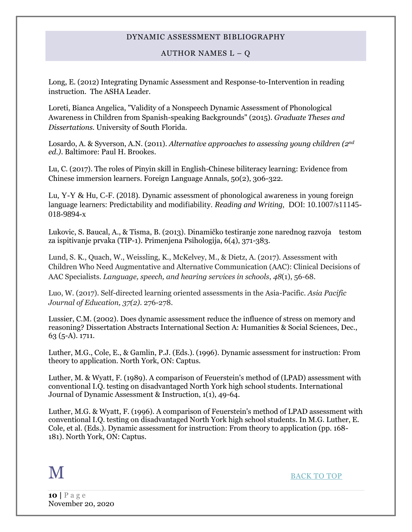#### AUTHOR NAMES  $L - Q$

Long, E. (2012) Integrating Dynamic Assessment and Response-to-Intervention in reading instruction. The ASHA Leader.

Loreti, Bianca Angelica, "Validity of a Nonspeech Dynamic Assessment of Phonological Awareness in Children from Spanish-speaking Backgrounds" (2015). *Graduate Theses and Dissertations.* University of South Florida.

Losardo, A. & Syverson, A.N. (2011). *Alternative approaches to assessing young children (2nd ed.)*. Baltimore: Paul H. Brookes.

Lu, C. (2017). The roles of Pinyin skill in English-Chinese biliteracy learning: Evidence from Chinese immersion learners. Foreign Language Annals, 50(2), 306-322.

Lu, Y-Y & Hu, C-F. (2018). Dynamic assessment of phonological awareness in young foreign language learners: Predictability and modifiability. *Reading and Writing,* DOI: 10.1007/s11145- 018-9894-x

Lukovic, S. Baucal, A., & Tisma, B. (2013). Dinamičko testiranje zone narednog razvoja testom za ispitivanje prvaka (TIP-1). Primenjena Psihologija, 6(4), 371-383.

Lund, S. K., Quach, W., Weissling, K., McKelvey, M., & Dietz, A. (2017). Assessment with Children Who Need Augmentative and Alternative Communication (AAC): Clinical Decisions of AAC Specialists. *Language, speech, and hearing services in schools*, *48*(1), 56-68.

Luo, W. (2017). Self-directed learning oriented assessments in the Asia-Pacific. *Asia Pacific Journal of Education, 37(2).* 276-278.

Lussier, C.M. (2002). Does dynamic assessment reduce the influence of stress on memory and reasoning? Dissertation Abstracts International Section A: Humanities & Social Sciences, Dec., 63 (5-A). 1711.

Luther, M.G., Cole, E., & Gamlin, P.J. (Eds.). (1996). Dynamic assessment for instruction: From theory to application. North York, ON: Captus.

Luther, M. & Wyatt, F. (1989). A comparison of Feuerstein's method of (LPAD) assessment with conventional I.Q. testing on disadvantaged North York high school students. International Journal of Dynamic Assessment & Instruction, 1(1), 49-64.

Luther, M.G. & Wyatt, F. (1996). A comparison of Feuerstein's method of LPAD assessment with conventional I.Q. testing on disadvantaged North York high school students. In M.G. Luther, E. Cole, et al. (Eds.). Dynamic assessment for instruction: From theory to application (pp. 168- 181). North York, ON: Captus.

<span id="page-9-0"></span>

M [BACK TO TOP](#page-0-1)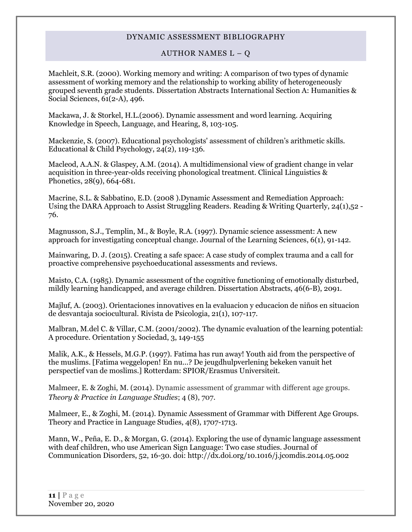#### AUTHOR NAMES  $L - Q$

Machleit, S.R. (2000). Working memory and writing: A comparison of two types of dynamic assessment of working memory and the relationship to working ability of heterogeneously grouped seventh grade students. Dissertation Abstracts International Section A: Humanities & Social Sciences, 61(2-A), 496.

Mackawa, J. & Storkel, H.L.(2006). Dynamic assessment and word learning. Acquiring Knowledge in Speech, Language, and Hearing, 8, 103-105.

Mackenzie, S. (2007). Educational psychologists' assessment of children's arithmetic skills. Educational & Child Psychology, 24(2), 119-136.

Macleod, A.A.N. & Glaspey, A.M. (2014). A multidimensional view of gradient change in velar acquisition in three-year-olds receiving phonological treatment. Clinical Linguistics & Phonetics, 28(9), 664-681.

Macrine, S.L. & Sabbatino, E.D. (2008 ).Dynamic Assessment and Remediation Approach: Using the DARA Approach to Assist Struggling Readers. Reading & Writing Quarterly, 24(1),52 - 76.

Magnusson, S.J., Templin, M., & Boyle, R.A. (1997). Dynamic science assessment: A new approach for investigating conceptual change. Journal of the Learning Sciences, 6(1), 91-142.

Mainwaring, D. J. (2015). Creating a safe space: A case study of complex trauma and a call for proactive comprehensive psychoeducational assessments and reviews.

Maisto, C.A. (1985). Dynamic assessment of the cognitive functioning of emotionally disturbed, mildly learning handicapped, and average children. Dissertation Abstracts, 46(6-B), 2091.

Majluf, A. (2003). Orientaciones innovatives en la evaluacion y educacion de niños en situacion de desvantaja sociocultural. Rivista de Psicologia, 21(1), 107-117.

Malbran, M.del C. & Villar, C.M. (2001/2002). The dynamic evaluation of the learning potential: A procedure. Orientation y Sociedad, 3, 149-155

Malik, A.K., & Hessels, M.G.P. (1997). Fatima has run away! Youth aid from the perspective of the muslims. [Fatima weggelopen! En nu...? De jeugdhulpverlening bekeken vanuit het perspectief van de moslims.] Rotterdam: SPIOR/Erasmus Universiteit.

Malmeer, E. & Zoghi, M. (2014). Dynamic assessment of grammar with different age groups. *Theory & Practice in Language Studies*; 4 (8), 707.

Malmeer, E., & Zoghi, M. (2014). Dynamic Assessment of Grammar with Different Age Groups. Theory and Practice in Language Studies, 4(8), 1707-1713.

Mann, W., Peña, E. D., & Morgan, G. (2014). Exploring the use of dynamic language assessment with deaf children, who use American Sign Language: Two case studies. Journal of Communication Disorders, 52, 16-30. doi: http://dx.doi.org/10.1016/j.jcomdis.2014.05.002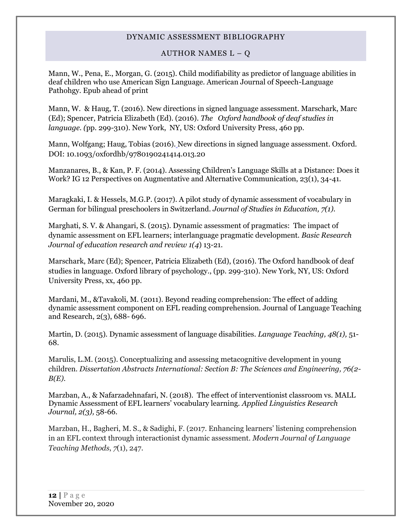### AUTHOR NAMES  $L - Q$

Mann, W., Pena, E., Morgan, G. (2015). Child modifiability as predictor of language abilities in deaf children who use American Sign Language. American Journal of Speech-Language Pathohgy. Epub ahead of print

Mann, W. & Haug, T. (2016). New directions in signed language assessment. Marschark, Marc (Ed); Spencer, Patricia Elizabeth (Ed). (2016). *The Oxford handbook of deaf studies in language. (*pp. 299-310). New York, NY, US: Oxford University Press, 460 pp.

[Mann, Wolfgang;](http://psycnet.apa.org/index.cfm?fa=search.searchResults&latSearchType=a&term=Mann,%20Wolfgang) [Haug, Tobias](http://psycnet.apa.org/index.cfm?fa=search.searchResults&latSearchType=a&term=Haug,%20Tobias) (2016). New directions in signed language assessment. Oxford. DOI: 10.1093/oxfordhb/9780190241414.013.20

Manzanares, B., & Kan, P. F. (2014). Assessing Children's Language Skills at a Distance: Does it Work? IG 12 Perspectives on Augmentative and Alternative Communication, 23(1), 34-41.

Maragkaki, I. & Hessels, M.G.P. (2017). A pilot study of dynamic assessment of vocabulary in German for bilingual preschoolers in Switzerland. *Journal of Studies in Education, 7(1).*

Marghati, S. V. & Ahangari, S. (2015). Dynamic assessment of pragmatics: The impact of dynamic assessment on EFL learners; interlanguage pragmatic development. *Basic Research Journal of education research and review 1(4*) 13-21.

Marschark, Marc (Ed); Spencer, Patricia Elizabeth (Ed), (2016). The Oxford handbook of deaf studies in language. Oxford library of psychology., (pp. 299-310). New York, NY, US: Oxford University Press, xx, 460 pp.

Mardani, M., &Tavakoli, M. (2011). Beyond reading comprehension: The effect of adding dynamic assessment component on EFL reading comprehension. Journal of Language Teaching and Research, 2(3), 688- 696.

Martin, D. (2015). Dynamic assessment of language disabilities. *Language Teaching, 48(1),* 51- 68.

Marulis, L.M. (2015). Conceptualizing and assessing metacognitive development in young children. *Dissertation Abstracts International: Section B: The Sciences and Engineering, 76(2- B(E).*

Marzban, A., & Nafarzadehnafari, N. (2018). The effect of interventionist classroom vs. MALL Dynamic Assessment of EFL learners' vocabulary learning. *Applied Linguistics Research Journal, 2(3),* 58-66.

Marzban, H., Bagheri, M. S., & Sadighi, F. (2017. Enhancing learners' listening comprehension in an EFL context through interactionist dynamic assessment. *Modern Journal of Language Teaching Methods*, *7*(1), 247.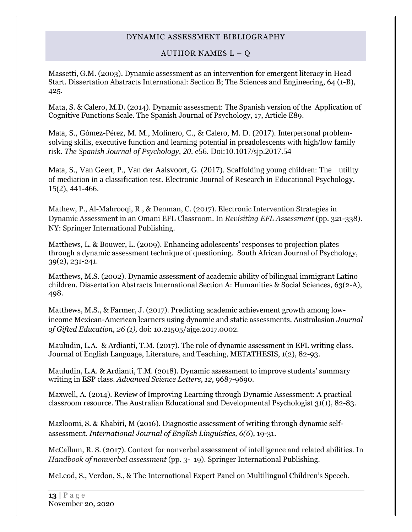#### AUTHOR NAMES  $L - Q$

Massetti, G.M. (2003). Dynamic assessment as an intervention for emergent literacy in Head Start. Dissertation Abstracts International: Section B; The Sciences and Engineering, 64 (1-B), 425.

Mata, S. & Calero, M.D. (2014). Dynamic assessment: The Spanish version of the Application of Cognitive Functions Scale. The Spanish Journal of Psychology, 17, Article E89.

Mata, S., Gómez-Pérez, M. M., Molinero, C., & Calero, M. D. (2017). Interpersonal problemsolving skills, executive function and learning potential in preadolescents with high/low family risk. *The Spanish Journal of Psychology, 20*. e56. Doi:10.1017/sjp.2017.54

Mata, S., Van Geert, P., Van der Aalsvoort, G. (2017). Scaffolding young children: The utility of mediation in a classification test. Electronic Journal of Research in Educational Psychology, 15(2), 441-466.

Mathew, P., Al-Mahrooqi, R., & Denman, C. (2017). Electronic Intervention Strategies in Dynamic Assessment in an Omani EFL Classroom. In *Revisiting EFL Assessment* (pp. 321-338). NY: Springer International Publishing.

Matthews, L. & Bouwer, L. (2009). Enhancing adolescents' responses to projection plates through a dynamic assessment technique of questioning. South African Journal of Psychology, 39(2), 231-241.

Matthews, M.S. (2002). Dynamic assessment of academic ability of bilingual immigrant Latino children. Dissertation Abstracts International Section A: Humanities & Social Sciences, 63(2-A), 498.

Matthews, M.S., & Farmer, J. (2017). Predicting academic achievement growth among lowincome Mexican-American learners using dynamic and static assessments. Australasian *Journal of Gifted Education, 26 (1),* doi: 10.21505/ajge.2017.0002.

Mauludin, L.A. & Ardianti, T.M. (2017). The role of dynamic assessment in EFL writing class. Journal of English Language, Literature, and Teaching, METATHESIS, 1(2), 82-93.

Mauludin, L.A. & Ardianti, T.M. (2018). Dynamic assessment to improve students' summary writing in ESP class. *Advanced Science Letters, 12*, 9687-9690.

Maxwell, A. (2014). Review of Improving Learning through Dynamic Assessment: A practical classroom resource. The Australian Educational and Developmental Psychologist 31(1), 82-83.

Mazloomi, S. & Khabiri, M (2016). Diagnostic assessment of writing through dynamic selfassessment. *International Journal of English Linguistics, 6(6*), 19-31.

McCallum, R. S. (2017). Context for nonverbal assessment of intelligence and related abilities. In *Handbook of nonverbal assessment* (pp. 3- 19). Springer International Publishing.

McLeod, S., Verdon, S., & The International Expert Panel on Multilingual Children's Speech.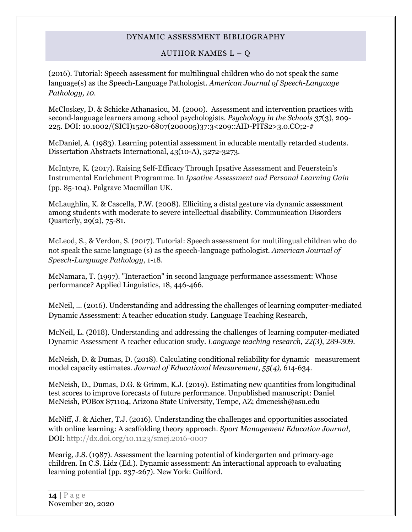### AUTHOR NAMES  $L - Q$

(2016). Tutorial: Speech assessment for multilingual children who do not speak the same language(s) as the Speech-Language Pathologist. *American Journal of Speech-Language Pathology, 10.*

McCloskey, D. & Schicke Athanasiou, M. (2000). Assessment and intervention practices with second‐language learners among school psychologists. *Psychology in the Schools 37*(3), 209- 225. DOI: 10.1002/(SICI)1520-6807(200005)37:3<209::AID-PITS2>3.0.CO;2-#

McDaniel, A. (1983). Learning potential assessment in educable mentally retarded students. Dissertation Abstracts International, 43(10-A), 3272-3273.

McIntyre, K. (2017). Raising Self-Efficacy Through Ipsative Assessment and Feuerstein's Instrumental Enrichment Programme. In *Ipsative Assessment and Personal Learning Gain* (pp. 85-104). Palgrave Macmillan UK.

McLaughlin, K. & Cascella, P.W. (2008). Elliciting a distal gesture via dynamic assessment among students with moderate to severe intellectual disability. Communication Disorders Quarterly, 29(2), 75-81.

McLeod, S., & Verdon, S. (2017). Tutorial: Speech assessment for multilingual children who do not speak the same language (s) as the speech-language pathologist. *American Journal of Speech-Language Pathology*, 1-18.

McNamara, T. (1997). "Interaction" in second language performance assessment: Whose performance? Applied Linguistics, 18, 446-466.

McNeil, … (2016). Understanding and addressing the challenges of learning computer-mediated Dynamic Assessment: A teacher education study. Language Teaching Research,

McNeil, L. (2018). Understanding and addressing the challenges of learning computer-mediated Dynamic Assessment A teacher education study. *Language teaching research, 22(3),* 289-309.

McNeish, D. & Dumas, D. (2018). Calculating conditional reliability for dynamic measurement model capacity estimates. *Journal of Educational Measurement, 55(4),* 614-634.

McNeish, D., Dumas, D.G. & Grimm, K.J. (2019). Estimating new quantities from longitudinal test scores to improve forecasts of future performance. Unpublished manuscript: Daniel McNeish, POBox 871104, Arizona State University, Tempe, AZ; dmcneish@asu.edu

McNiff, J. & Aicher, T.J. (2016). Understanding the challenges and opportunities associated with online learning: A scaffolding theory approach. *Sport Management Education Journal*, DOI: <http://dx.doi.org/10.1123/smej.2016-0007>

Mearig, J.S. (1987). Assessment the learning potential of kindergarten and primary-age children. In C.S. Lidz (Ed.). Dynamic assessment: An interactional approach to evaluating learning potential (pp. 237-267). New York: Guilford.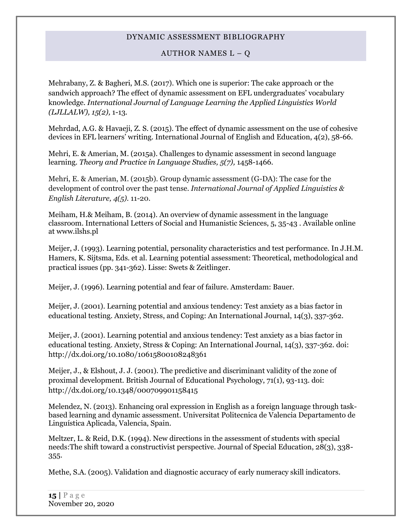### AUTHOR NAMES  $L - Q$

Mehrabany, Z. & Bagheri, M.S. (2017). Which one is superior: The cake approach or the sandwich approach? The effect of dynamic assessment on EFL undergraduates' vocabulary knowledge. *International Journal of Language Learning the Applied Linguistics World (LJLLALW), 15(2),* 1-13.

Mehrdad, A.G. & Havaeji, Z. S. (2015). The effect of dynamic assessment on the use of cohesive devices in EFL learners' writing. International Journal of English and Education, 4(2), 58-66.

Mehri, E. & Amerian, M. (2015a). Challenges to dynamic assessment in second language learning. *Theory and Practice in Language Studies, 5(7),* 1458-1466.

Mehri, E. & Amerian, M. (2015b). Group dynamic assessment (G-DA): The case for the development of control over the past tense. *International Journal of Applied Linguistics & English Literature, 4(5).* 11-20.

Meiham, H.& Meiham, B. (2014). An overview of dynamic assessment in the language classroom. International Letters of Social and Humanistic Sciences, 5, 35-43 . Available online at www.ilshs.pl

Meijer, J. (1993). Learning potential, personality characteristics and test performance. In J.H.M. Hamers, K. Sijtsma, Eds. et al. Learning potential assessment: Theoretical, methodological and practical issues (pp. 341-362). Lisse: Swets & Zeitlinger.

Meijer, J. (1996). Learning potential and fear of failure. Amsterdam: Bauer.

Meijer, J. (2001). Learning potential and anxious tendency: Test anxiety as a bias factor in educational testing. Anxiety, Stress, and Coping: An International Journal, 14(3), 337-362.

Meijer, J. (2001). Learning potential and anxious tendency: Test anxiety as a bias factor in educational testing. Anxiety, Stress & Coping: An International Journal, 14(3), 337-362. doi: http://dx.doi.org/10.1080/10615800108248361

Meijer, J., & Elshout, J. J. (2001). The predictive and discriminant validity of the zone of proximal development. British Journal of Educational Psychology, 71(1), 93-113. doi: http://dx.doi.org/10.1348/000709901158415

Melendez, N. (2013). Enhancing oral expression in English as a foreign language through taskbased learning and dynamic assessment. Universitat Politecnica de Valencia Departamento de Linguística Aplicada, Valencia, Spain.

Meltzer, L. & Reid, D.K. (1994). New directions in the assessment of students with special needs:The shift toward a constructivist perspective. Journal of Special Education, 28(3), 338- 355.

Methe, S.A. (2005). Validation and diagnostic accuracy of early numeracy skill indicators.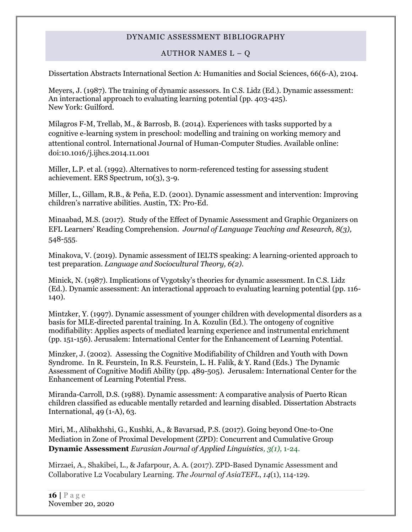### AUTHOR NAMES  $L - Q$

Dissertation Abstracts International Section A: Humanities and Social Sciences, 66(6-A), 2104.

Meyers, J. (1987). The training of dynamic assessors. In C.S. Lidz (Ed.). Dynamic assessment: An interactional approach to evaluating learning potential (pp. 403-425). New York: Guilford.

Milagros F-M, Trellab, M., & Barrosb, B. (2014). Experiences with tasks supported by a cognitive e-learning system in preschool: modelling and training on working memory and attentional control. International Journal of Human-Computer Studies. Available online: doi:10.1016/j.ijhcs.2014.11.001

Miller, L.P. et al. (1992). Alternatives to norm-referenced testing for assessing student achievement. ERS Spectrum, 10(3), 3-9.

Miller, L., Gillam, R.B., & Peña, E.D. (2001). Dynamic assessment and intervention: Improving children's narrative abilities. Austin, TX: Pro-Ed.

Minaabad, M.S. (2017). [Study of the Effect of Dynamic Assessment and Graphic Organizers on](http://scholar.google.com/scholar_url?url=http://www.academypublication.com/issues/jltr/vol08/jltr0803.pdf%23page%3D110&hl=en&sa=X&scisig=AAGBfm0Er0ODopjQQMTxNEOJ5xKeceRFlA&nossl=1&oi=scholaralrt)  [EFL Learners' Reading Comprehension.](http://scholar.google.com/scholar_url?url=http://www.academypublication.com/issues/jltr/vol08/jltr0803.pdf%23page%3D110&hl=en&sa=X&scisig=AAGBfm0Er0ODopjQQMTxNEOJ5xKeceRFlA&nossl=1&oi=scholaralrt) *Journal of Language Teaching and Research, 8(3),* 548-555.

Minakova, V. (2019). Dynamic assessment of IELTS speaking: A learning-oriented approach to test preparation. *Language and Sociocultural Theory, 6(2).*

Minick, N. (1987). Implications of Vygotsky's theories for dynamic assessment. In C.S. Lidz (Ed.). Dynamic assessment: An interactional approach to evaluating learning potential (pp. 116- 140).

Mintzker, Y. (1997). Dynamic assessment of younger children with developmental disorders as a basis for MLE-directed parental training. In A. Kozulin (Ed.). The ontogeny of cognitive modifiability: Applies aspects of mediated learning experience and instrumental enrichment (pp. 151-156). Jerusalem: International Center for the Enhancement of Learning Potential.

Minzker, J. (2002). Assessing the Cognitive Modifiability of Children and Youth with Down Syndrome. In R. Feurstein, In R.S. Feurstein, L. H. Falik, & Y. Rand (Eds.) The Dynamic Assessment of Cognitive Modifi Ability (pp. 489-505). Jerusalem: International Center for the Enhancement of Learning Potential Press.

Miranda-Carroll, D.S. (1988). Dynamic assessment: A comparative analysis of Puerto Rican children classified as educable mentally retarded and learning disabled. Dissertation Abstracts International, 49 (1-A), 63.

Miri, M., Alibakhshi, G., Kushki, A., & Bavarsad, P.S. (2017). [Going beyond One-to-One](http://scholar.google.com/scholar_url?url=http://www.ejal.eu/index.php/ejal/article/download/81/43&hl=en&sa=X&scisig=AAGBfm0GarUdJK9xfP0dF1tJx9q4DR2OHg&nossl=1&oi=scholaralrt)  [Mediation in Zone of Proximal Development](http://scholar.google.com/scholar_url?url=http://www.ejal.eu/index.php/ejal/article/download/81/43&hl=en&sa=X&scisig=AAGBfm0GarUdJK9xfP0dF1tJx9q4DR2OHg&nossl=1&oi=scholaralrt) (ZPD): Concurrent and Cumulative Group **[Dynamic Assessment](http://scholar.google.com/scholar_url?url=http://www.ejal.eu/index.php/ejal/article/download/81/43&hl=en&sa=X&scisig=AAGBfm0GarUdJK9xfP0dF1tJx9q4DR2OHg&nossl=1&oi=scholaralrt)** *Eurasian Journal of Applied Linguistics, 3(1),* 1-24.

Mirzaei, A., Shakibei, L., & Jafarpour, A. A. (2017). ZPD-Based Dynamic Assessment and Collaborative L2 Vocabulary Learning. *The Journal of AsiaTEFL*, *14*(1), 114-129.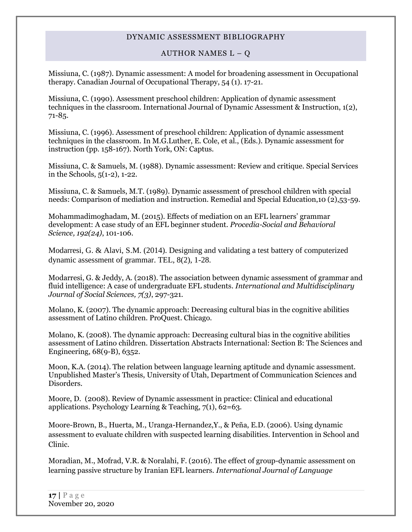#### AUTHOR NAMES  $L - Q$

Missiuna, C. (1987). Dynamic assessment: A model for broadening assessment in Occupational therapy. Canadian Journal of Occupational Therapy, 54 (1). 17-21.

Missiuna, C. (1990). Assessment preschool children: Application of dynamic assessment techniques in the classroom. International Journal of Dynamic Assessment & Instruction, 1(2), 71-85.

Missiuna, C. (1996). Assessment of preschool children: Application of dynamic assessment techniques in the classroom. In M.G.Luther, E. Cole, et al., (Eds.). Dynamic assessment for instruction (pp. 158-167). North York, ON: Captus.

Missiuna, C. & Samuels, M. (1988). Dynamic assessment: Review and critique. Special Services in the Schools, 5(1-2), 1-22.

Missiuna, C. & Samuels, M.T. (1989). Dynamic assessment of preschool children with special needs: Comparison of mediation and instruction. Remedial and Special Education,10 (2),53-59.

Mohammadimoghadam, M. (2015). Effects of mediation on an EFL learners' grammar development: A case study of an EFL beginner student*. Procedia-Social and Behavioral Science, 192(24)*, 101-106.

Modarresi, G. & Alavi, S.M. (2014). Designing and validating a test battery of computerized dynamic assessment of grammar. TEL, 8(2), 1-28.

Modarresi, G. & Jeddy, A. (2018). The association between dynamic assessment of grammar and fluid intelligence: A case of undergraduate EFL students. *International and Multidisciplinary Journal of Social Sciences, 7(3)*, 297-321.

Molano, K. (2007). The dynamic approach: Decreasing cultural bias in the cognitive abilities assessment of Latino children. ProQuest. Chicago.

Molano, K. (2008). The dynamic approach: Decreasing cultural bias in the cognitive abilities assessment of Latino children. Dissertation Abstracts International: Section B: The Sciences and Engineering, 68(9-B), 6352.

Moon, K.A. (2014). The relation between language learning aptitude and dynamic assessment. Unpublished Master's Thesis, University of Utah, Department of Communication Sciences and Disorders.

Moore, D. (2008). Review of Dynamic assessment in practice: Clinical and educational applications. Psychology Learning & Teaching, 7(1), 62=63.

Moore-Brown, B., Huerta, M., Uranga-Hernandez,Y., & Peña, E.D. (2006). Using dynamic assessment to evaluate children with suspected learning disabilities. Intervention in School and Clinic.

Moradian, M., Mofrad, V.R. & Noralahi, F. (2016). The effect of group-dynamic assessment on learning passive structure by Iranian EFL learners. *International Journal of Language*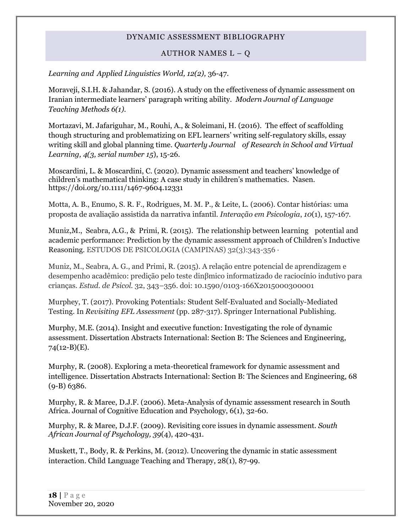#### AUTHOR NAMES  $L - Q$

#### <span id="page-17-0"></span>*Learning and Applied Linguistics World, 12(2),* 36-47.

Moraveji, S.I.H. & Jahandar, S. (2016). A study on the effectiveness of dynamic assessment on Iranian intermediate learners' paragraph writing ability. *Modern Journal of Language Teaching Methods 6(1).*

Mortazavi, M. Jafariguhar, M., Rouhi, A., & Soleimani, H. (2016). The effect of scaffolding though structuring and problematizing on EFL learners' writing self-regulatory skills, essay writing skill and global planning time. *Quarterly Journal of Research in School and Virtual Learning, 4(3, serial number 15*), 15-26.

Moscardini, L. & Moscardini, C. (2020). Dynamic assessment and teachers' knowledge of children's mathematical thinking: A case study in children's mathematics. Nasen. https://doi.org/10.1111/1467-9604.12331

Motta, A. B., Enumo, S. R. F., Rodrigues, M. M. P., & Leite, L. (2006). Contar histórias: uma proposta de avaliação assistida da narrativa infantil. *Interação em Psicologia*, *10*(1), 157-167.

Muniz,M., Seabra, A.G., & Primi, R. (2015). The relationship between learning potential and academic performance: Prediction by the dynamic assessment approach of Children's Inductive Reasoning. ESTUDOS DE PSICOLOGIA (CAMPINAS) 32(3):343-356 ·

Muniz, M., Seabra, A. G., and Primi, R. (2015). A relação entre potencial de aprendizagem e desempenho acadêmico: predição pelo teste dinβmico informatizado de raciocínio indutivo para crianças. *Estud. de Psicol.* 32, 343–356. doi: 10.1590/0103-166X2015000300001

Murphey, T. (2017). Provoking Potentials: Student Self-Evaluated and Socially-Mediated Testing. In *Revisiting EFL Assessment* (pp. 287-317). Springer International Publishing.

Murphy, M.E. (2014). Insight and executive function: Investigating the role of dynamic assessment. Dissertation Abstracts International: Section B: The Sciences and Engineering, 74(12-B)(E).

Murphy, R. (2008). Exploring a meta-theoretical framework for dynamic assessment and intelligence. Dissertation Abstracts International: Section B: The Sciences and Engineering, 68  $(9 - B) 6386.$ 

Murphy, R. & Maree, D.J.F. (2006). Meta-Analysis of dynamic assessment research in South Africa. Journal of Cognitive Education and Psychology, 6(1), 32-60.

Murphy, R. & Maree, D.J.F. (2009). Revisiting core issues in dynamic assessment. *South African Journal of Psychology, 39*(4), 420-431.

Muskett, T., Body, R. & Perkins, M. (2012). Uncovering the dynamic in static assessment interaction. Child Language Teaching and Therapy, 28(1), 87-99.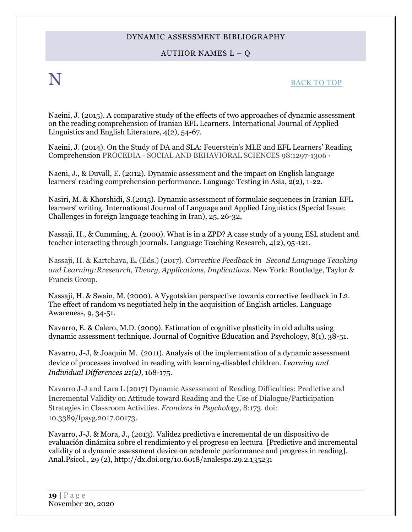### AUTHOR NAMES  $L - Q$

## $N$  back to top

Naeini, J. (2015). A comparative study of the effects of two approaches of dynamic assessment on the reading comprehension of Iranian EFL Learners. International Journal of Applied Linguistics and English Literature, 4(2), 54-67.

[Naeini,](https://www.researchgate.net/researcher/2063162480_Jila_Naeini) J. (2014). On the Study of DA and SLA: Feuerstein's MLE and EFL Learners' Reading Comprehension PROCEDIA - SOCIAL AND BEHAVIORAL SCIENCES 98:1297-1306 ·

Naeni, J., & Duvall, E. (2012). Dynamic assessment and the impact on English language learners' reading comprehension performance. Language Testing in Asia, 2(2), 1-22.

Nasiri, M. & Khorshidi, S.(2015). Dynamic assessment of formulaic sequences in Iranian EFL learners' writing. International Journal of Language and Applied Linguistics (Special Issue: Challenges in foreign language teaching in Iran), 25, 26-32,

Nassaji, H., & Cumming, A. (2000). What is in a ZPD? A case study of a young ESL student and teacher interacting through journals. Language Teaching Research, 4(2), 95-121.

Nassaji, H. & Kartchava, E**.** (Eds.) (2017). *Corrective Feedback in Second Language Teaching and Learning:Rresearch, Theory, Applications, Implications*. New York: Routledge, Taylor & Francis Group.

Nassaji, H. & Swain, M. (2000). A Vygotskian perspective towards corrective feedback in L2. The effect of random vs negotiated help in the acquisition of English articles. Language Awareness, 9, 34-51.

Navarro, E. & Calero, M.D. (2009). Estimation of cognitive plasticity in old adults using dynamic assessment technique. Journal of Cognitive Education and Psychology, 8(1), 38-51.

Navarro, J-J, & Joaquín M. (2011). Analysis of the implementation of a dynamic assessment device of processes involved in reading with learning-disabled children. *Learning and Individual Differences 21(2),* 168-175.

Navarro J-J and Lara L (2017) Dynamic Assessment of Reading Difficulties: Predictive and Incremental Validity on Attitude toward Reading and the Use of Dialogue/Participation Strategies in Classroom Activities. *Frontiers in Psychol*ogy, 8:173. doi: 10.3389/fpsyg.2017.00173.

Navarro, J-J. & Mora, J., (2013). Validez predictiva e incremental de un dispositivo de evaluación dinámica sobre el rendimiento y el progreso en lectura [Predictive and incremental validity of a dynamic assessment device on academic performance and progress in reading]. Anal.Psicol., 29 (2), http://dx.doi.org/10.6018/analesps.29.2.135231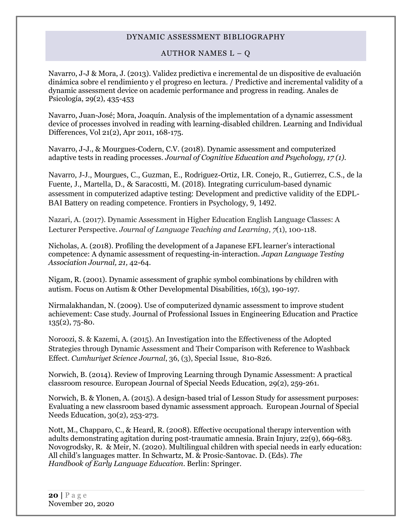#### AUTHOR NAMES  $L - Q$

<span id="page-19-0"></span>Navarro, J-J & Mora, J. (2013). Validez predictiva e incremental de un dispositive de evaluación dinámica sobre el rendimiento y el progreso en lectura. / Predictive and incremental validity of a dynamic assessment device on academic performance and progress in reading. Anales de Psicología, 29(2), 435-453

Navarro, Juan-José; Mora, Joaquín. Analysis of the implementation of a dynamic assessment device of processes involved in reading with learning-disabled children. Learning and Individual Differences, Vol 21(2), Apr 2011, 168-175.

Navarro, J-J., & Mourgues-Codern, C.V. (2018). Dynamic assessment and computerized adaptive tests in reading processes. *Journal of Cognitive Education and Psychology, 17 (1).*

Navarro, J-J., Mourgues, C., Guzman, E., Rodriguez-Ortiz, I.R. Conejo, R., Gutierrez, C.S., de la Fuente, J., Martella, D., & Saracostti, M. (2018). Integrating curriculum-based dynamic assessment in computerized adaptive testing: Development and predictive validity of the EDPL-BAI Battery on reading competence. Frontiers in Psychology, 9, 1492.

Nazari, A. (2017). Dynamic Assessment in Higher Education English Language Classes: A Lecturer Perspective. *Journal of Language Teaching and Learning*, *7*(1), 100-118.

Nicholas, A. (2018). Profiling the development of a Japanese EFL learner's interactional competence: A dynamic assessment of requesting-in-interaction. *Japan Language Testing Association Journal, 21,* 42-64.

Nigam, R. (2001). Dynamic assessment of graphic symbol combinations by children with autism. Focus on Autism & Other Developmental Disabilities, 16(3), 190-197.

Nirmalakhandan, N. (2009). Use of computerized dynamic assessment to improve student achievement: Case study. Journal of Professional Issues in Engineering Education and Practice 135(2), 75-80.

Noroozi, S. & Kazemi, A. (2015). An Investigation into the Effectiveness of the Adopted Strategies through Dynamic Assessment and Their Comparison with Reference to Washback Effect. *Cumhuriyet Science Journal*, 36, (3), Special Issue, 810-826.

Norwich, B. (2014). Review of Improving Learning through Dynamic Assessment: A practical classroom resource. European Journal of Special Needs Education, 29(2), 259-261.

Norwich, B. & Ylonen, A. (2015). A design-based trial of Lesson Study for assessment purposes: Evaluating a new classroom based dynamic assessment approach. European Journal of Special Needs Education, 30(2), 253-273.

Nott, M., Chapparo, C., & Heard, R. (2008). Effective occupational therapy intervention with adults demonstrating agitation during post-traumatic amnesia. Brain Injury, 22(9), 669-683. Novogrodsky, R. & Meir, N. (2020). Multilingual children with special needs in early education: All child's languages matter. In Schwartz, M. & Prosic-Santovac. D. (Eds). *The Handbook of Early Language Education*. Berlin: Springer.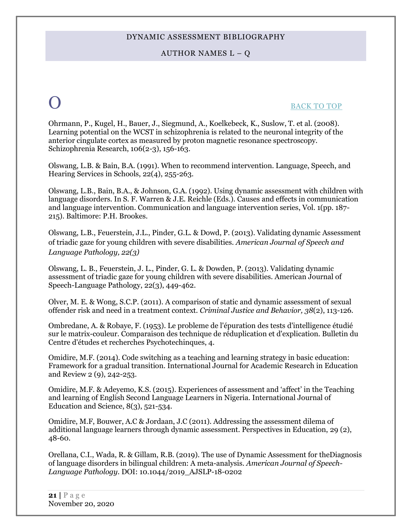#### AUTHOR NAMES  $L - Q$

## O [BACK TO TOP](#page-0-1)

Ohrmann, P., Kugel, H., Bauer, J., Siegmund, A., Koelkebeck, K., Suslow, T. et al. (2008). Learning potential on the WCST in schizophrenia is related to the neuronal integrity of the anterior cingulate cortex as measured by proton magnetic resonance spectroscopy. Schizophrenia Research, 106(2-3), 156-163.

Olswang, L.B. & Bain, B.A. (1991). When to recommend intervention. Language, Speech, and Hearing Services in Schools, 22(4), 255-263.

Olswang, L.B., Bain, B.A., & Johnson, G.A. (1992). Using dynamic assessment with children with language disorders. In S. F. Warren & J.E. Reichle (Eds.). Causes and effects in communication and language intervention. Communication and language intervention series, Vol. 1(pp. 187- 215). Baltimore: P.H. Brookes.

Olswang, L.B., Feuerstein, J.L., Pinder, G.L. & Dowd, P. (2013). Validating dynamic Assessment of triadic gaze for young children with severe disabilities. *American Journal of Speech and Language Pathology, 22(3)*

Olswang, L. B., Feuerstein, J. L., Pinder, G. L. & Dowden, P. (2013). Validating dynamic assessment of triadic gaze for young children with severe disabilities. American Journal of Speech-Language Pathology, 22(3), 449-462.

Olver, M. E. & Wong, S.C.P. (2011). [A comparison of static and dynamic assessment of sexual](http://psycnet.apa.org/index.cfm?fa=search.displayRecord&id=B6F4B90D-9E21-EC1C-6F6D-88415430527F&resultID=2&page=1&dbTab=all)  [offender risk and need in a treatment context.](http://psycnet.apa.org/index.cfm?fa=search.displayRecord&id=B6F4B90D-9E21-EC1C-6F6D-88415430527F&resultID=2&page=1&dbTab=all) *Criminal Justice and Behavior, 38*(2), 113-126.

Ombredane, A. & Robaye, F. (1953). Le probleme de l'épuration des tests d'intelligence étudié sur le matrix-couleur. Comparaison des technique de réduplication et d'explication. Bulletin du Centre d'études et recherches Psychotechinques, 4.

Omidire, M.F. (2014). Code switching as a teaching and learning strategy in basic education: Framework for a gradual transition. International Journal for Academic Research in Education and Review 2 (9), 242-253.

Omidire, M.F. & Adeyemo, K.S. (2015). Experiences of assessment and 'affect' in the Teaching and learning of English Second Language Learners in Nigeria. International Journal of Education and Science,  $8(3)$ ,  $521-534$ .

Omidire, M.F, Bouwer, A.C & Jordaan, J.C (2011). Addressing the assessment dilema of additional language learners through dynamic assessment. Perspectives in Education, 29 (2), 48-60.

Orellana, C.I., Wada, R. & Gillam, R.B. (2019). The use of Dynamic Assessment for theDiagnosis of language disorders in bilingual children: A meta-analysis. *American Journal of Speech-Language Pathology.* DOI: 10.1044/2019\_AJSLP-18-0202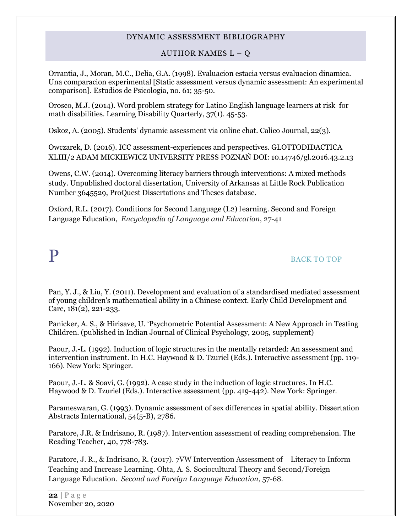AUTHOR NAMES  $L - Q$ 

Orrantia, J., Moran, M.C., Delia, G.A. (1998). Evaluacion estacia versus evaluacion dinamica. Una comparacion experimental [Static assessment versus dynamic assessment: An experimental comparison]. Estudios de Psicologia, no. 61; 35-50.

Orosco, M.J. (2014). Word problem strategy for Latino English language learners at risk for math disabilities. Learning Disability Quarterly, 37(1). 45-53.

Oskoz, A. (2005). Students' dynamic assessment via online chat. Calico Journal, 22(3).

Owczarek, D. (2016). ICC assessment-experiences and perspectives. GLOTTODIDACTICA XLIII/2 ADAM MICKIEWICZ UNIVERSITY PRESS POZNAŃ DOI: 10.14746/gl.2016.43.2.13

Owens, C.W. (2014). Overcoming literacy barriers through interventions: A mixed methods study. Unpublished doctoral dissertation, University of Arkansas at Little Rock Publication Number 3645529, ProQuest Dissertations and Theses database.

Oxford, R.L. (2017). Conditions for Second Language (L2) l earning. Second and Foreign Language Education, *[Encyclopedia of Language and Education](http://link.springer.com/bookseries/15111)*, 27-41

## <span id="page-21-0"></span>P [BACK TO TOP](#page-0-1)

Pan, Y. J., & Liu, Y. (2011). Development and evaluation of a standardised mediated assessment of young children's mathematical ability in a Chinese context. Early Child Development and Care, 181(2), 221-233.

Panicker, A. S., & Hirisave, U. 'Psychometric Potential Assessment: A New Approach in Testing Children. (published in Indian Journal of Clinical Psychology, 2005, supplement)

Paour, J.-L. (1992). Induction of logic structures in the mentally retarded: An assessment and intervention instrument. In H.C. Haywood & D. Tzuriel (Eds.). Interactive assessment (pp. 119- 166). New York: Springer.

Paour, J.-L. & Soavi, G. (1992). A case study in the induction of logic structures. In H.C. Haywood & D. Tzuriel (Eds.). Interactive assessment (pp. 419-442). New York: Springer.

Parameswaran, G. (1993). Dynamic assessment of sex differences in spatial ability. Dissertation Abstracts International, 54(5-B), 2786.

Paratore, J.R. & Indrisano, R. (1987). Intervention assessment of reading comprehension. The Reading Teacher, 40, 778-783.

Paratore, J. R., & Indrisano, R. (2017). 7VW Intervention Assessment of Literacy to Inform Teaching and Increase Learning. Ohta, A. S. Sociocultural Theory and Second/Foreign Language Education. *Second and Foreign Language Education*, 57-68.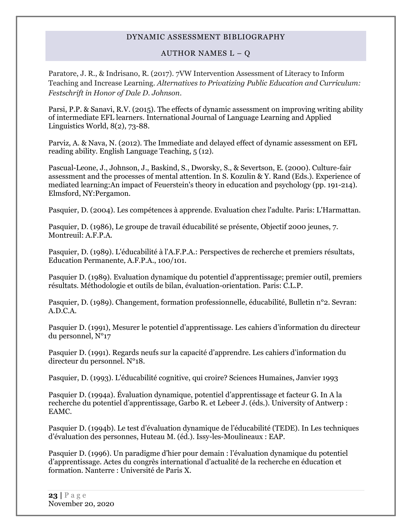#### AUTHOR NAMES  $L - Q$

Paratore, J. R., & Indrisano, R. (2017). 7VW Intervention Assessment of Literacy to Inform Teaching and Increase Learning. *Alternatives to Privatizing Public Education and Curriculum: Festschrift in Honor of Dale D. Johnson*.

Parsi, P.P. & Sanavi, R.V. (2015). The effects of dynamic assessment on improving writing ability of intermediate EFL learners. International Journal of Language Learning and Applied Linguistics World, 8(2), 73-88.

Parviz, A. & Nava, N. (2012). The Immediate and delayed effect of dynamic assessment on EFL reading ability. English Language Teaching, 5 (12).

Pascual-Leone, J., Johnson, J., Baskind, S., Dworsky, S., & Severtson, E. (2000). Culture-fair assessment and the processes of mental attention. In S. Kozulin & Y. Rand (Eds.). Experience of mediated learning:An impact of Feuerstein's theory in education and psychology (pp. 191-214). Elmsford, NY:Pergamon.

Pasquier, D. (2004). Les compétences à apprende. Evaluation chez l'adulte. Paris: L'Harmattan.

Pasquier, D. (1986), Le groupe de travail éducabilité se présente, Objectif 2000 jeunes, 7. Montreuil: A.F.P.A.

Pasquier, D. (1989). L'éducabilité à l'A.F.P.A.: Perspectives de recherche et premiers résultats, Education Permanente, A.F.P.A., 100/101.

Pasquier D. (1989). Evaluation dynamique du potentiel d'apprentissage; premier outil, premiers résultats. Méthodologie et outils de bilan, évaluation-orientation. Paris: C.L.P.

Pasquier, D. (1989). Changement, formation professionnelle, éducabilité, Bulletin n°2. Sevran: A.D.C.A.

Pasquier D. (1991), Mesurer le potentiel d'apprentissage. Les cahiers d'information du directeur du personnel, N°17

Pasquier D. (1991). Regards neufs sur la capacité d'apprendre. Les cahiers d'information du directeur du personnel. N°18.

Pasquier, D. (1993). L'éducabilité cognitive, qui croire? Sciences Humaines, Janvier 1993

Pasquier D. (1994a). Évaluation dynamique, potentiel d'apprentissage et facteur G. In A la recherche du potentiel d'apprentissage, Garbo R. et Lebeer J. (éds.). University of Antwerp : EAMC.

Pasquier D. (1994b). Le test d'évaluation dynamique de l'éducabilité (TEDE). In Les techniques d'évaluation des personnes, Huteau M. (éd.). Issy-les-Moulineaux : EAP.

Pasquier D. (1996). Un paradigme d'hier pour demain : l'évaluation dynamique du potentiel d'apprentissage. Actes du congrès international d'actualité de la recherche en éducation et formation. Nanterre : Université de Paris X.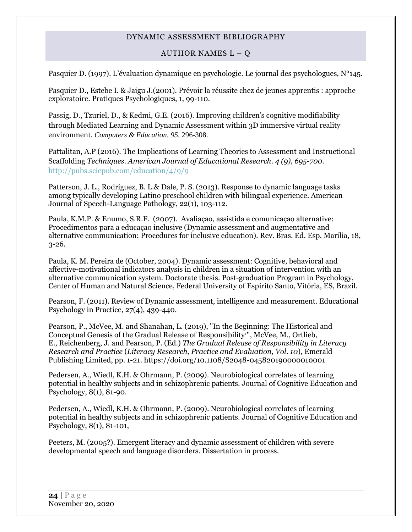#### AUTHOR NAMES  $L - Q$

Pasquier D. (1997). L'évaluation dynamique en psychologie. Le journal des psychologues, N°145.

Pasquier D., Estebe I. & Jaigu J.(2001). Prévoir la réussite chez de jeunes apprentis : approche exploratoire. Pratiques Psychologiques, 1, 99-110.

Passig, D., Tzuriel, D., & Kedmi, G.E. (2016). Improving children's cognitive modifiability through Mediated Learning and Dynamic Assessment within 3D immersive virtual reality environment. *Computers & Education, 95*, 296-308.

Pattalitan, A.P (2016). The Implications of Learning Theories to Assessment and Instructional Scaffolding *Techniques. American Journal of Educational Research. 4 (9), 695-700.*  <http://pubs.sciepub.com/education/4/9/9>

Patterson, J. L., Rodríguez, B. L.& Dale, P. S. (2013). Response to dynamic language tasks among typically developing Latino preschool children with bilingual experience. American Journal of Speech-Language Pathology, 22(1), 103-112.

Paula, K.M.P. & Enumo, S.R.F. (2007). Avaliaçao, assistida e comunicaçao alternative: Procedimentos para a educaçao inclusive (Dynamic assessment and augmentative and alternative communication: Procedures for inclusive education). Rev. Bras. Ed. Esp. Marilia, 18, 3-26.

Paula, K. M. Pereira de (October, 2004). Dynamic assessment: Cognitive, behavioral and affective-motivational indicators analysis in children in a situation of intervention with an alternative communication system. Doctorate thesis. Post-graduation Program in Psychology, Center of Human and Natural Science, Federal University of Espírito Santo, Vitória, ES, Brazil.

Pearson, F. (2011). Review of Dynamic assessment, intelligence and measurement. Educational Psychology in Practice, 27(4), 439-440.

[Pearson, P.,](https://www.emerald.com/insight/search?q=P.%20David%20Pearson) [McVee, M.](https://www.emerald.com/insight/search?q=Mary%20B.%20McVee) and [Shanahan, L.](https://www.emerald.com/insight/search?q=Lynn%20E.%20Shanahan) (2019), "In the Beginning: The Historical and Conceptual Genesis of the Gradual Release of Responsibility<sup>1</sup>", [McVee, M.,](https://www.emerald.com/insight/search?q=Mary%20B.%20McVee) Ortlieb, [E.,](https://www.emerald.com/insight/search?q=Evan%20Ortlieb) [Reichenberg, J.](https://www.emerald.com/insight/search?q=Jennifer%20Sharples%20Reichenberg) and [Pearson, P.](https://www.emerald.com/insight/search?q=P.%20David%20Pearson) (Ed.) *The Gradual Release of Responsibility in Literacy Research and Practice* (*Literacy Research, Practice and Evaluation, Vol. 10*), Emerald Publishing Limited, pp. 1-21. <https://doi.org/10.1108/S2048-045820190000010001>

Pedersen, A., Wiedl, K.H. & Ohrmann, P. (2009). Neurobiological correlates of learning potential in healthy subjects and in schizophrenic patients. Journal of Cognitive Education and Psychology, 8(1), 81-90.

Pedersen, A., Wiedl, K.H. & Ohrmann, P. (2009). Neurobiological correlates of learning potential in healthy subjects and in schizophrenic patients. Journal of Cognitive Education and Psychology, 8(1), 81-101,

Peeters, M. (2005?). Emergent literacy and dynamic assessment of children with severe developmental speech and language disorders. Dissertation in process.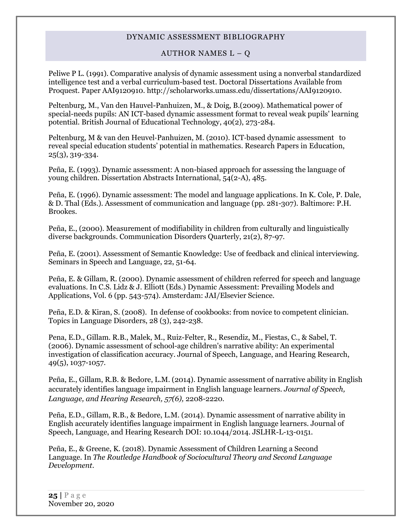#### AUTHOR NAMES  $L - Q$

Peliwe P L. (1991). Comparative analysis of dynamic assessment using a nonverbal standardized intelligence test and a verbal curriculum-based test. Doctoral Dissertations Available from Proquest. Paper AAI9120910. http://scholarworks.umass.edu/dissertations/AAI9120910.

Peltenburg, M., Van den Hauvel-Panhuizen, M., & Doig, B.(2009). Mathematical power of special-needs pupils: AN ICT-based dynamic assessment format to reveal weak pupils' learning potential. British Journal of Educational Technology, 40(2), 273-284.

Peltenburg, M & van den Heuvel‐Panhuizen, M. (2010). ICT‐based dynamic assessment to reveal special education students' potential in mathematics. Research Papers in Education, 25(3), 319-334.

Peña, E. (1993). Dynamic assessment: A non-biased approach for assessing the language of young children. Dissertation Abstracts International, 54(2-A), 485.

Peña, E. (1996). Dynamic assessment: The model and language applications. In K. Cole, P. Dale, & D. Thal (Eds.). Assessment of communication and language (pp. 281-307). Baltimore: P.H. Brookes.

Peña, E., (2000). Measurement of modifiability in children from culturally and linguistically diverse backgrounds. Communication Disorders Quarterly, 21(2), 87-97.

Peña, E. (2001). Assessment of Semantic Knowledge: Use of feedback and clinical interviewing. Seminars in Speech and Language, 22, 51-64.

Peña, E. & Gillam, R. (2000). Dynamic assessment of children referred for speech and language evaluations. In C.S. Lidz & J. Elliott (Eds.) Dynamic Assessment: Prevailing Models and Applications, Vol. 6 (pp. 543-574). Amsterdam: JAI/Elsevier Science.

Peña, E.D. & Kiran, S. (2008). In defense of cookbooks: from novice to competent clinician. Topics in Language Disorders, 28 (3), 242-238.

Pena, E.D., Gillam. R.B., Malek, M., Ruiz-Felter, R., Resendiz, M., Fiestas, C., & Sabel, T. (2006). Dynamic assessment of school-age children's narrative ability: An experimental investigation of classification accuracy. Journal of Speech, Language, and Hearing Research, 49(5), 1037-1057.

Peña, E., Gillam, R.B. & Bedore, L.M. (2014). Dynamic assessment of narrative ability in English accurately identifies language impairment in English language learners. *Journal of Speech, Language, and Hearing Research, 57(6),* 2208-2220.

Peña, E.D., Gillam, R.B., & Bedore, L.M. (2014). Dynamic assessment of narrative ability in English accurately identifies language impairment in English language learners. Journal of Speech, Language, and Hearing Research DOI: 10.1044/2014. JSLHR-L-13-0151.

Peña, E., & Greene, K. (2018). Dynamic Assessment of Children Learning a Second Language. In *The Routledge Handbook of Sociocultural Theory and Second Language Development.*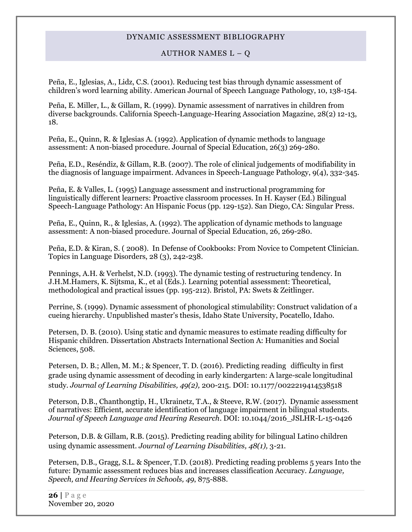#### AUTHOR NAMES  $L - Q$

Peña, E., Iglesias, A., Lidz, C.S. (2001). Reducing test bias through dynamic assessment of children's word learning ability. American Journal of Speech Language Pathology, 10, 138-154.

Peña, E. Miller, L., & Gillam, R. (1999). Dynamic assessment of narratives in children from diverse backgrounds. California Speech-Language-Hearing Association Magazine, 28(2) 12-13, 18.

Peña, E., Quinn, R. & Iglesias A. (1992). Application of dynamic methods to language assessment: A non-biased procedure. Journal of Special Education, 26(3) 269-280.

Peña, E.D., Reséndiz, & Gillam, R.B. (2007). The role of clinical judgements of modifiability in the diagnosis of language impairment. Advances in Speech-Language Pathology, 9(4), 332-345.

Peña, E. & Valles, L. (1995) Language assessment and instructional programming for linguistically different learners: Proactive classroom processes. In H. Kayser (Ed.) Bilingual Speech-Language Pathology: An Hispanic Focus (pp. 129-152). San Diego, CA: Singular Press.

Peña, E., Quinn, R., & Iglesias, A. (1992). The application of dynamic methods to language assessment: A non-biased procedure. Journal of Special Education, 26, 269-280.

Peña, E.D. & Kiran, S. ( 2008). In Defense of Cookbooks: From Novice to Competent Clinician. Topics in Language Disorders, 28 (3), 242-238.

Pennings, A.H. & Verhelst, N.D. (1993). The dynamic testing of restructuring tendency. In J.H.M.Hamers, K. Sijtsma, K., et al (Eds.). Learning potential assessment: Theoretical, methodological and practical issues (pp. 195-212). Bristol, PA: Swets & Zeitlinger.

Perrine, S. (1999). Dynamic assessment of phonological stimulability: Construct validation of a cueing hierarchy. Unpublished master's thesis, Idaho State University, Pocatello, Idaho.

Petersen, D. B. (2010). Using static and dynamic measures to estimate reading difficulty for Hispanic children. Dissertation Abstracts International Section A: Humanities and Social Sciences, 508.

[Petersen, D. B.;](http://psycnet.apa.org/index.cfm?fa=search.searchResults&latSearchType=a&term=Petersen,%20Douglas%20B.) [Allen, M. M.;](http://psycnet.apa.org/index.cfm?fa=search.searchResults&latSearchType=a&term=Allen,%20Melissa%20M.) [& Spencer, T. D.](http://psycnet.apa.org/index.cfm?fa=search.searchResults&latSearchType=a&term=Spencer,%20Trina%20D.) (2016). Predicting reading difficulty in first grade using dynamic assessment of decoding in early kindergarten: A large-scale longitudinal study. *Journal of Learning Disabilities, 49(2),* 200-215. DOI: 10.1177/0022219414538518

Peterson, D.B., Chanthongtip, H., Ukrainetz, T.A., & Steeve, R.W. (2017). Dynamic assessment of narratives: Efficient, accurate identification of language impairment in bilingual students. *Journal of Speech Language and Hearing Research*. DOI: 10.1044/2016\_JSLHR-L-15-0426

Peterson, D.B. & Gillam, R.B. (2015). Predicting reading ability for bilingual Latino children using dynamic assessment. *Journal of Learning Disabilities, 48(1),* 3-21.

Petersen, D.B., Gragg, S.L. & Spencer, T.D. (2018). Predicting reading problems 5 years Into the future: Dynamic assessment reduces bias and increases classification Accuracy. *Language, Speech, and Hearing Services in Schools, 49*, 875-888.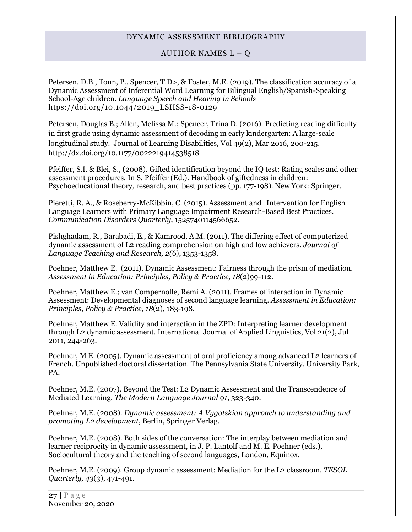#### AUTHOR NAMES  $L - Q$

Petersen. D.B., Tonn, P., Spencer, T.D>, & Foster, M.E. (2019). The classification accuracy of a Dynamic Assessment of Inferential Word Learning for Bilingual English/Spanish-Speaking School-Age children. *Language Speech and Hearing in Schools* htps://doi.org/10.1044/2019\_LSHSS-18-0129

[Petersen, Douglas B.;](http://psycnet.apa.org/index.cfm?fa=search.searchResults&latSearchType=a&term=Petersen,%20Douglas%20B.) [Allen, Melissa M.;](http://psycnet.apa.org/index.cfm?fa=search.searchResults&latSearchType=a&term=Allen,%20Melissa%20M.) [Spencer, Trina D.](http://psycnet.apa.org/index.cfm?fa=search.searchResults&latSearchType=a&term=Spencer,%20Trina%20D.) (2016). Predicting reading difficulty in first grade using dynamic assessment of decoding in early kindergarten: A large-scale longitudinal study. Journal of Learning Disabilities, Vol 49(2), Mar 2016, 200-215. [http://dx.doi.org/10.1177/0022219414538518](http://psycnet.apa.org/doi/10.1177/0022219414538518)

Pfeiffer, S.I. & Blei, S., (2008). Gifted identification beyond the IQ test: Rating scales and other assessment procedures. In S. Pfeiffer (Ed.). Handbook of giftedness in children: Psychoeducational theory, research, and best practices (pp. 177-198). New York: Springer.

Pieretti, R. A., & Roseberry-McKibbin, C. (2015). Assessment and Intervention for English Language Learners with Primary Language Impairment Research-Based Best Practices. *Communication Disorders Quarterly*, 1525740114566652.

Pishghadam, R., Barabadi, E., & Kamrood, A.M. (2011). The differing effect of computerized dynamic assessment of L2 reading comprehension on high and low achievers. *Journal of Language Teaching and Research, 2(*6), 1353-1358.

Poehner, Matthew E. (2011). Dynamic Assessment: Fairness through the prism of mediation. *Assessment in Education: Principles, Policy & Practice, 18*(2)99-112.

Poehner, Matthew E.; van Compernolle, Remi A. (2011). Frames of interaction in Dynamic Assessment: Developmental diagnoses of second language learning. *Assessment in Education: Principles, Policy & Practice, 18*(2), 183-198.

Poehner, Matthew E. Validity and interaction in the ZPD: Interpreting learner development through L2 dynamic assessment. International Journal of Applied Linguistics, Vol  $21(2)$ , Jul 2011, 244-263.

Poehner, M E. (2005). Dynamic assessment of oral proficiency among advanced L2 learners of French. Unpublished doctoral dissertation. The Pennsylvania State University, University Park, PA.

Poehner, M.E. (2007). Beyond the Test: L2 Dynamic Assessment and the Transcendence of Mediated Learning, *The Modern Language Journal 91*, 323-340.

Poehner, M.E. (2008). *Dynamic assessment: A Vygotskian approach to understanding and promoting L2 development*, Berlin, Springer Verlag.

Poehner, M.E. (2008). Both sides of the conversation: The interplay between mediation and learner reciprocity in dynamic assessment, in J. P. Lantolf and M. E. Poehner (eds.), Sociocultural theory and the teaching of second languages, London, Equinox.

Poehner, M.E. (2009). Group dynamic assessment: Mediation for the L2 classroom. *TESOL Quarterly, 43*(3), 471-491.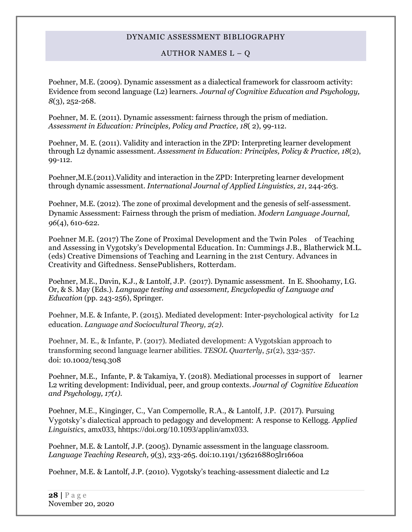#### AUTHOR NAMES  $L - Q$

Poehner, M.E. (2009). Dynamic assessment as a dialectical framework for classroom activity: Evidence from second language (L2) learners. *Journal of Cognitive Education and Psychology, 8*(3), 252-268.

Poehner, M. E. (2011). [Dynamic assessment: fairness through the prism of mediation.](http://www.ingentaconnect.com/search/article?title=%22dynamic+assessment&title_type=tka&year_from=1998&year_to=2009&database=1&pageSize=50&index=2) *[Assessment in Education: Principles, Policy and Practice,](http://www.ingentaconnect.com/content/routledg/caie) 18*( 2), 99-112.

Poehner, M. E. (2011). Validity and interaction in the ZPD: Interpreting learner development through L2 dynamic assessment. *Assessment in Education: Principles, Policy & Practice, 18*(2), 99-112.

Poehner,M.E.(2011).Validity and interaction in the ZPD: Interpreting learner development through dynamic assessment. *International Journal of Applied Linguistics, 21*, 244-263.

Poehner, M.E. (2012). The zone of proximal development and the genesis of self-assessment. Dynamic Assessment: Fairness through the prism of mediation. *Modern Language Journal, 96*(4), 610-622.

Poehner M.E. (2017) The Zone of Proximal Development and the Twin Poles of Teaching and Assessing in Vygotsky's Developmental Education. In: Cummings J.B., Blatherwick M.L. (eds) Creative Dimensions of Teaching and Learning in the 21st Century. Advances in Creativity and Giftedness. SensePublishers, Rotterdam.

Poehner, M.E., Davin, K.J., & Lantolf, J.P. (2017). Dynamic assessment. In E. Shoohamy, I.G. Or, & S. May (Eds.). *Language testing and assessment, Encyclopedia of Language and Education* (pp. 243-256), Springer.

Poehner, M.E. & Infante, P. (2015). Mediated development: Inter-psychological activity for L2 education. *Language and Sociocultural Theory, 2(2).* 

Poehner, M. E., & Infante, P. (2017). Mediated development: A Vygotskian approach to transforming second language learner abilities. *TESOL Quarterly*, *51*(2), 332-357. doi: 10.1002/tesq.308

Poehner, M.E., Infante, P. & Takamiya, Y. (2018). Mediational processes in support of learner L2 writing development: Individual, peer, and group contexts. *Journal of Cognitive Education and Psychology, 17(1).*

Poehner, M.E., Kinginger, C., Van Compernolle, R.A., & Lantolf, J.P. (2017). Pursuing Vygotsky's dialectical approach to pedagogy and development: A response to Kellogg. *Applied Linguistics*, amx033, hhttps://doi.org/10.1093/applin/amx033.

Poehner, M.E. & Lantolf, J.P. (2005). Dynamic assessment in the language classroom. *Language Teaching Research, 9*(3), 233-265. doi:10.1191/1362168805lr166oa

Poehner, M.E. & Lantolf, J.P. (2010). Vygotsky's teaching-assessment dialectic and L2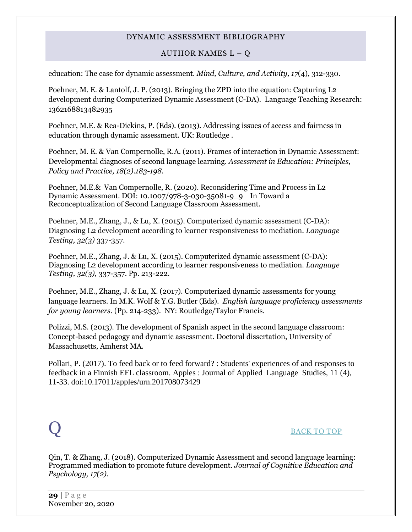### AUTHOR NAMES  $L - Q$

education: The case for dynamic assessment. *Mind, Culture, and Activity, 17*(4), 312-330.

Poehner, M. E. & Lantolf, J. P. (2013). Bringing the ZPD into the equation: Capturing L2 development during Computerized Dynamic Assessment (C-DA). Language Teaching Research: 1362168813482935

Poehner, M.E. & Rea-Dickins, P. (Eds). (2013). Addressing issues of access and fairness in education through dynamic assessment. UK: Routledge .

Poehner, M. E. & Van Compernolle, R.A. (2011). Frames of interaction in Dynamic Assessment: Developmental diagnoses of second language learning. *Assessment in Education: Principles, Policy and Practice, 18(2).183-198.*

Poehner, M.E.& Van Compernolle, R. (2020). Reconsidering Time and Process in L2 Dynamic Assessment. DOI: 10.1007/978-3-030-35081-9\_9 In Toward a Reconceptualization of Second Language Classroom Assessment.

Poehner, M.E., Zhang, J., & Lu, X. (2015). Computerized dynamic assessment (C-DA): Diagnosing L2 development according to learner responsiveness to mediation. *Language Testing, 32(3)* 337-357.

Poehner, M.E., Zhang, J. & Lu, X. (2015). Computerized dynamic assessment (C-DA): Diagnosing L2 development according to learner responsiveness to mediation. *Language Testing, 32(3),* 337-357. Pp. 213-222.

Poehner, M.E., Zhang, J. & Lu, X. (2017). Computerized dynamic assessments for young language learners. In M.K. Wolf & Y.G. Butler (Eds). *English language proficiency assessments for young learners.* (Pp. 214-233). NY: Routledge/Taylor Francis.

Polizzi, M.S. (2013). The development of Spanish aspect in the second language classroom: Concept-based pedagogy and dynamic assessment. Doctoral dissertation, University of Massachusetts, Amherst MA.

Pollari, P. (2017). To feed back or to feed forward? : Students' experiences of and responses to feedback in a Finnish EFL classroom. Apples : Journal of Applied Language Studies, 11 (4), 11-33. doi:10.17011/apples/urn.201708073429

## <span id="page-28-0"></span>Q [BACK TO TOP](#page-0-1)

Qin, T. & Zhang, J. (2018). Computerized Dynamic Assessment and second language learning: Programmed mediation to promote future development. *Journal of Cognitive Education and Psychology, 17(2).*

**29 |** P a g e November 20, 2020